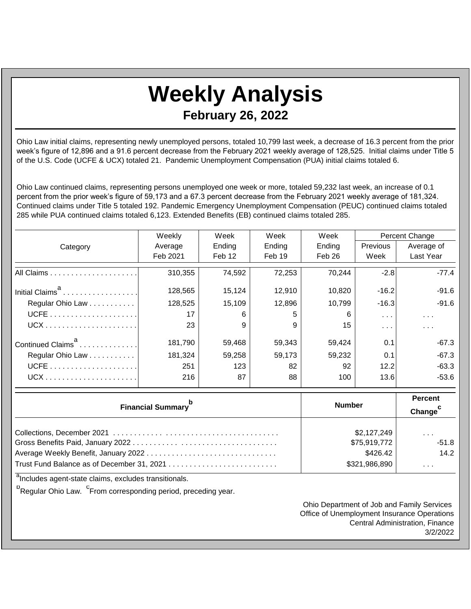## **Weekly Analysis**

**February 26, 2022**

Ohio Law initial claims, representing newly unemployed persons, totaled 10,799 last week, a decrease of 16.3 percent from the prior week's figure of 12,896 and a 91.6 percent decrease from the February 2021 weekly average of 128,525. Initial claims under Title 5 of the U.S. Code (UCFE & UCX) totaled 21. Pandemic Unemployment Compensation (PUA) initial claims totaled 6.

Ohio Law continued claims, representing persons unemployed one week or more, totaled 59,232 last week, an increase of 0.1 percent from the prior week's figure of 59,173 and a 67.3 percent decrease from the February 2021 weekly average of 181,324. Continued claims under Title 5 totaled 192. Pandemic Emergency Unemployment Compensation (PEUC) continued claims totaled 285 while PUA continued claims totaled 6,123. Extended Benefits (EB) continued claims totaled 285.

|                               | Weekly   | Week   | Week   | Week   | Percent Change       |                         |
|-------------------------------|----------|--------|--------|--------|----------------------|-------------------------|
| Category                      | Average  | Ending | Ending | Ending | <b>Previous</b>      | Average of              |
|                               | Feb 2021 | Feb 12 | Feb 19 | Feb 26 | Week                 | Last Year               |
|                               | 310,355  | 74.592 | 72,253 | 70,244 | $-2.8$               | $-77.4$                 |
| Initial Claims <sup>a</sup>   | 128,565  | 15,124 | 12,910 | 10,820 | $-16.2$              | $-91.6$                 |
| Regular Ohio Law              | 128,525  | 15,109 | 12,896 | 10,799 | $-16.3$              | $-91.6$                 |
|                               | 17       | 6      | 5      | 6      | $\sim$ $\sim$ $\sim$ | $\sim 100$ km s $^{-1}$ |
|                               | 23       | 9      | 9      | 15     | $\sim$ $\sim$ $\sim$ | $\sim$ $\sim$ $\sim$    |
| Continued Claims <sup>a</sup> | 181,790  | 59.468 | 59,343 | 59.424 | 0.1                  | $-67.3$                 |
| Regular Ohio Law              | 181,324  | 59,258 | 59,173 | 59,232 | 0.1                  | $-67.3$                 |
|                               | 251      | 123    | 82     | 92     | 12.2                 | $-63.3$                 |
|                               | 216      | 87     | 88     | 100    | 13.6                 | $-53.6$                 |

| <b>Financial Summary</b> <sup>p</sup>      | <b>Number</b> | Percent<br>Change <sup>c</sup> |  |
|--------------------------------------------|---------------|--------------------------------|--|
|                                            | \$2,127,249   | .                              |  |
|                                            | \$75,919,772  | $-51.8$                        |  |
|                                            | \$426.42      | 14.2                           |  |
| Trust Fund Balance as of December 31, 2021 | \$321,986,890 | $\sim$ 10 $\sim$ 10 $\sim$     |  |

<sup>a</sup>Includes agent-state claims, excludes transitionals.

<sup>b</sup>Regular Ohio Law. <sup>C</sup>From corresponding period, preceding year.

Ohio Department of Job and Family Services Office of Unemployment Insurance Operations Central Administration, Finance 3/2/2022